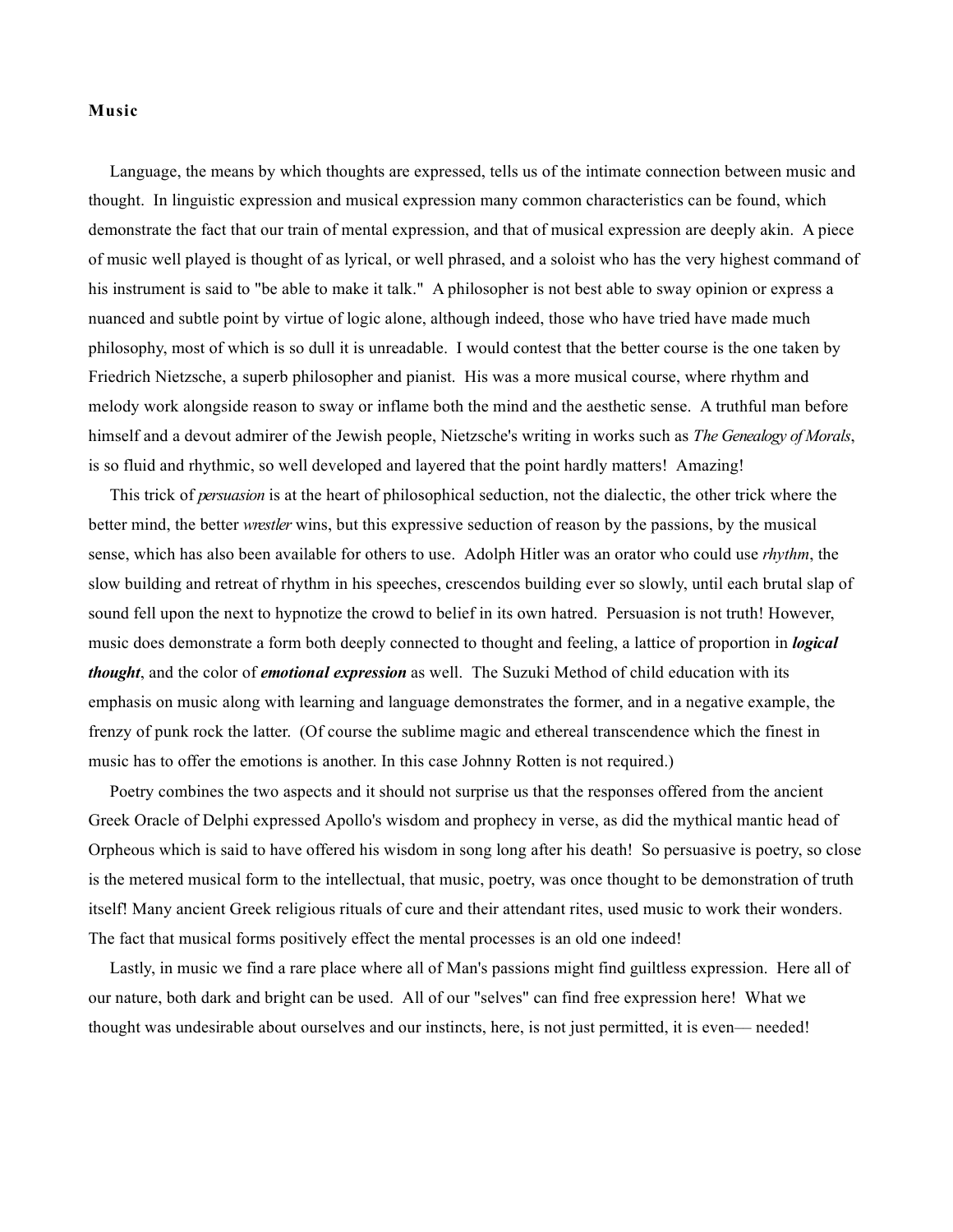## **Music**

Language, the means by which thoughts are expressed, tells us of the intimate connection between music and thought. In linguistic expression and musical expression many common characteristics can be found, which demonstrate the fact that our train of mental expression, and that of musical expression are deeply akin. A piece of music well played is thought of as lyrical, or well phrased, and a soloist who has the very highest command of his instrument is said to "be able to make it talk." A philosopher is not best able to sway opinion or express a nuanced and subtle point by virtue of logic alone, although indeed, those who have tried have made much philosophy, most of which is so dull it is unreadable. I would contest that the better course is the one taken by Friedrich Nietzsche, a superb philosopher and pianist. His was a more musical course, where rhythm and melody work alongside reason to sway or inflame both the mind and the aesthetic sense. A truthful man before himself and a devout admirer of the Jewish people, Nietzsche's writing in works such as *The Genealogy of Morals*, is so fluid and rhythmic, so well developed and layered that the point hardly matters! Amazing!

This trick of *persuasion* is at the heart of philosophical seduction, not the dialectic, the other trick where the better mind, the better *wrestler* wins, but this expressive seduction of reason by the passions, by the musical sense, which has also been available for others to use. Adolph Hitler was an orator who could use *rhythm*, the slow building and retreat of rhythm in his speeches, crescendos building ever so slowly, until each brutal slap of sound fell upon the next to hypnotize the crowd to belief in its own hatred. Persuasion is not truth! However, music does demonstrate a form both deeply connected to thought and feeling, a lattice of proportion in *logical thought*, and the color of *emotional expression* as well. The Suzuki Method of child education with its emphasis on music along with learning and language demonstrates the former, and in a negative example, the frenzy of punk rock the latter. (Of course the sublime magic and ethereal transcendence which the finest in music has to offer the emotions is another. In this case Johnny Rotten is not required.)

Poetry combines the two aspects and it should not surprise us that the responses offered from the ancient Greek Oracle of Delphi expressed Apollo's wisdom and prophecy in verse, as did the mythical mantic head of Orpheous which is said to have offered his wisdom in song long after his death! So persuasive is poetry, so close is the metered musical form to the intellectual, that music, poetry, was once thought to be demonstration of truth itself! Many ancient Greek religious rituals of cure and their attendant rites, used music to work their wonders. The fact that musical forms positively effect the mental processes is an old one indeed!

Lastly, in music we find a rare place where all of Man's passions might find guiltless expression. Here all of our nature, both dark and bright can be used. All of our "selves" can find free expression here! What we thought was undesirable about ourselves and our instincts, here, is not just permitted, it is even–– needed!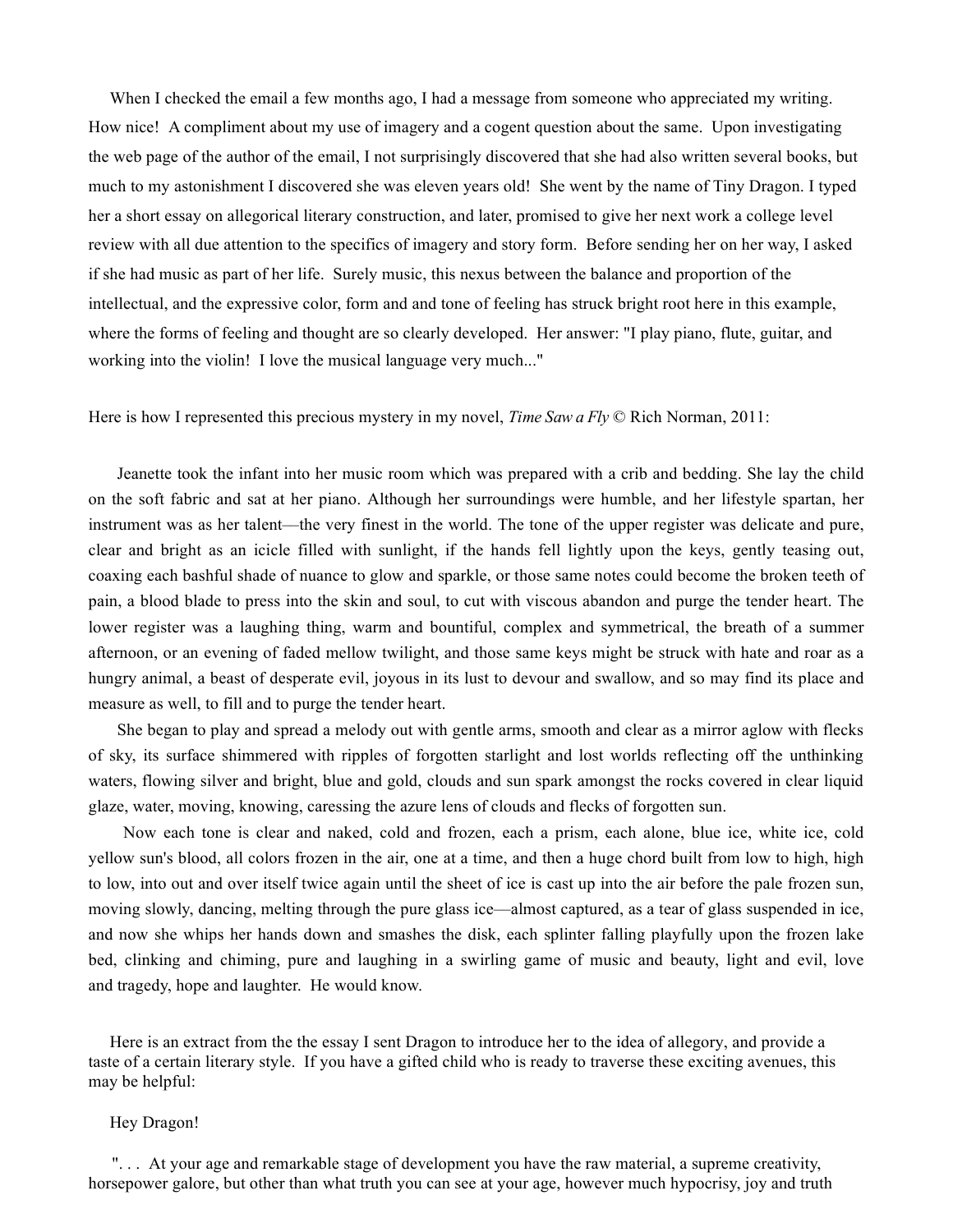When I checked the email a few months ago, I had a message from someone who appreciated my writing. How nice! A compliment about my use of imagery and a cogent question about the same. Upon investigating the web page of the author of the email, I not surprisingly discovered that she had also written several books, but much to my astonishment I discovered she was eleven years old! She went by the name of Tiny Dragon. I typed her a short essay on allegorical literary construction, and later, promised to give her next work a college level review with all due attention to the specifics of imagery and story form. Before sending her on her way, I asked if she had music as part of her life. Surely music, this nexus between the balance and proportion of the intellectual, and the expressive color, form and and tone of feeling has struck bright root here in this example, where the forms of feeling and thought are so clearly developed. Her answer: "I play piano, flute, guitar, and working into the violin! I love the musical language very much..."

#### Here is how I represented this precious mystery in my novel, *Time Saw a Fly* © Rich Norman, 2011:

Jeanette took the infant into her music room which was prepared with a crib and bedding. She lay the child on the soft fabric and sat at her piano. Although her surroundings were humble, and her lifestyle spartan, her instrument was as her talent––the very finest in the world. The tone of the upper register was delicate and pure, clear and bright as an icicle filled with sunlight, if the hands fell lightly upon the keys, gently teasing out, coaxing each bashful shade of nuance to glow and sparkle, or those same notes could become the broken teeth of pain, a blood blade to press into the skin and soul, to cut with viscous abandon and purge the tender heart. The lower register was a laughing thing, warm and bountiful, complex and symmetrical, the breath of a summer afternoon, or an evening of faded mellow twilight, and those same keys might be struck with hate and roar as a hungry animal, a beast of desperate evil, joyous in its lust to devour and swallow, and so may find its place and measure as well, to fill and to purge the tender heart.

She began to play and spread a melody out with gentle arms, smooth and clear as a mirror aglow with flecks of sky, its surface shimmered with ripples of forgotten starlight and lost worlds reflecting off the unthinking waters, flowing silver and bright, blue and gold, clouds and sun spark amongst the rocks covered in clear liquid glaze, water, moving, knowing, caressing the azure lens of clouds and flecks of forgotten sun.

Now each tone is clear and naked, cold and frozen, each a prism, each alone, blue ice, white ice, cold yellow sun's blood, all colors frozen in the air, one at a time, and then a huge chord built from low to high, high to low, into out and over itself twice again until the sheet of ice is cast up into the air before the pale frozen sun, moving slowly, dancing, melting through the pure glass ice––almost captured, as a tear of glass suspended in ice, and now she whips her hands down and smashes the disk, each splinter falling playfully upon the frozen lake bed, clinking and chiming, pure and laughing in a swirling game of music and beauty, light and evil, love and tragedy, hope and laughter. He would know.

Here is an extract from the the essay I sent Dragon to introduce her to the idea of allegory, and provide a taste of a certain literary style. If you have a gifted child who is ready to traverse these exciting avenues, this may be helpful:

### Hey Dragon!

". . . At your age and remarkable stage of development you have the raw material, a supreme creativity, horsepower galore, but other than what truth you can see at your age, however much hypocrisy, joy and truth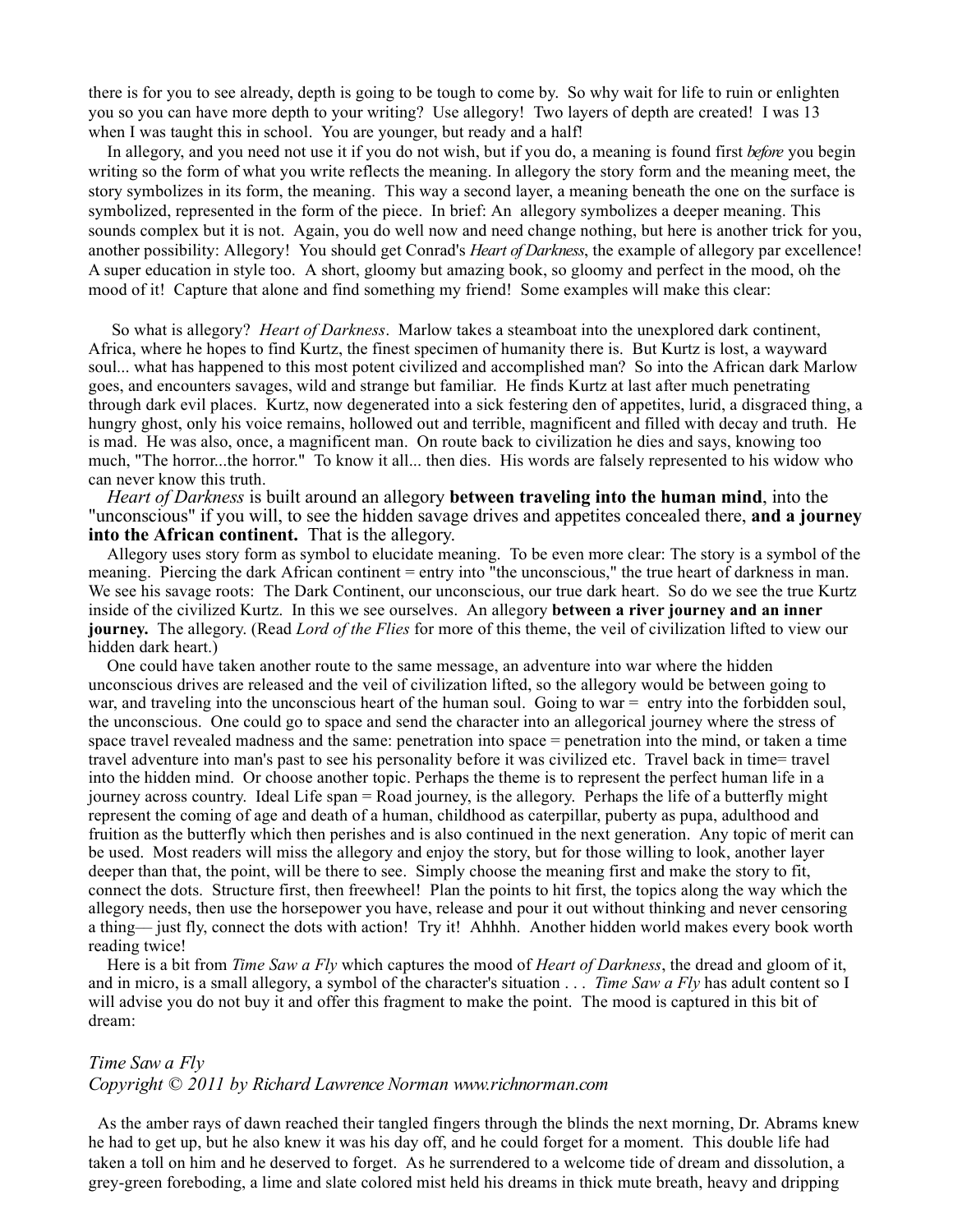there is for you to see already, depth is going to be tough to come by. So why wait for life to ruin or enlighten you so you can have more depth to your writing? Use allegory! Two layers of depth are created! I was 13 when I was taught this in school. You are younger, but ready and a half!

In allegory, and you need not use it if you do not wish, but if you do, a meaning is found first *before* you begin writing so the form of what you write reflects the meaning. In allegory the story form and the meaning meet, the story symbolizes in its form, the meaning. This way a second layer, a meaning beneath the one on the surface is symbolized, represented in the form of the piece. In brief: An allegory symbolizes a deeper meaning. This sounds complex but it is not. Again, you do well now and need change nothing, but here is another trick for you, another possibility: Allegory! You should get Conrad's *Heart of Darkness*, the example of allegory par excellence! A super education in style too. A short, gloomy but amazing book, so gloomy and perfect in the mood, oh the mood of it! Capture that alone and find something my friend! Some examples will make this clear:

So what is allegory? *Heart of Darkness*. Marlow takes a steamboat into the unexplored dark continent, Africa, where he hopes to find Kurtz, the finest specimen of humanity there is. But Kurtz is lost, a wayward soul... what has happened to this most potent civilized and accomplished man? So into the African dark Marlow goes, and encounters savages, wild and strange but familiar. He finds Kurtz at last after much penetrating through dark evil places. Kurtz, now degenerated into a sick festering den of appetites, lurid, a disgraced thing, a hungry ghost, only his voice remains, hollowed out and terrible, magnificent and filled with decay and truth. He is mad. He was also, once, a magnificent man. On route back to civilization he dies and says, knowing too much, "The horror...the horror." To know it all... then dies. His words are falsely represented to his widow who can never know this truth.

*Heart of Darkness* is built around an allegory **between traveling into the human mind**, into the "unconscious" if you will, to see the hidden savage drives and appetites concealed there, **and a journey into the African continent.** That is the allegory.

Allegory uses story form as symbol to elucidate meaning. To be even more clear: The story is a symbol of the meaning. Piercing the dark African continent = entry into "the unconscious," the true heart of darkness in man. We see his savage roots: The Dark Continent, our unconscious, our true dark heart. So do we see the true Kurtz inside of the civilized Kurtz. In this we see ourselves. An allegory **between a river journey and an inner journey.** The allegory. (Read *Lord of the Flies* for more of this theme, the veil of civilization lifted to view our hidden dark heart.)

One could have taken another route to the same message, an adventure into war where the hidden unconscious drives are released and the veil of civilization lifted, so the allegory would be between going to war, and traveling into the unconscious heart of the human soul. Going to war = entry into the forbidden soul, the unconscious. One could go to space and send the character into an allegorical journey where the stress of space travel revealed madness and the same: penetration into space = penetration into the mind, or taken a time travel adventure into man's past to see his personality before it was civilized etc. Travel back in time= travel into the hidden mind. Or choose another topic. Perhaps the theme is to represent the perfect human life in a journey across country. Ideal Life span = Road journey, is the allegory. Perhaps the life of a butterfly might represent the coming of age and death of a human, childhood as caterpillar, puberty as pupa, adulthood and fruition as the butterfly which then perishes and is also continued in the next generation. Any topic of merit can be used. Most readers will miss the allegory and enjoy the story, but for those willing to look, another layer deeper than that, the point, will be there to see. Simply choose the meaning first and make the story to fit, connect the dots. Structure first, then freewheel! Plan the points to hit first, the topics along the way which the allegory needs, then use the horsepower you have, release and pour it out without thinking and never censoring a thing–– just fly, connect the dots with action! Try it! Ahhhh. Another hidden world makes every book worth reading twice!

Here is a bit from *Time Saw a Fly* which captures the mood of *Heart of Darkness*, the dread and gloom of it, and in micro, is a small allegory, a symbol of the character's situation . . . *Time Saw a Fly* has adult content so I will advise you do not buy it and offer this fragment to make the point. The mood is captured in this bit of dream:

# *Time Saw a Fly*

### *Copyright © 2011 by Richard Lawrence Norman www.richnorman.com*

As the amber rays of dawn reached their tangled fingers through the blinds the next morning, Dr. Abrams knew he had to get up, but he also knew it was his day off, and he could forget for a moment. This double life had taken a toll on him and he deserved to forget. As he surrendered to a welcome tide of dream and dissolution, a grey-green foreboding, a lime and slate colored mist held his dreams in thick mute breath, heavy and dripping